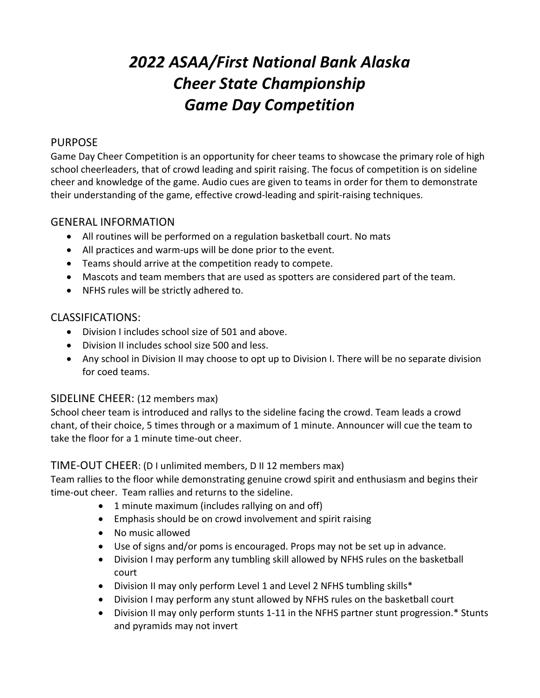# *2022 ASAA/First National Bank Alaska Cheer State Championship Game Day Competition*

#### PURPOSE

Game Day Cheer Competition is an opportunity for cheer teams to showcase the primary role of high school cheerleaders, that of crowd leading and spirit raising. The focus of competition is on sideline cheer and knowledge of the game. Audio cues are given to teams in order for them to demonstrate their understanding of the game, effective crowd-leading and spirit-raising techniques.

#### GENERAL INFORMATION

- All routines will be performed on a regulation basketball court. No mats
- All practices and warm-ups will be done prior to the event.
- Teams should arrive at the competition ready to compete.
- Mascots and team members that are used as spotters are considered part of the team.
- NFHS rules will be strictly adhered to.

## CLASSIFICATIONS:

- Division I includes school size of 501 and above.
- Division II includes school size 500 and less.
- Any school in Division II may choose to opt up to Division I. There will be no separate division for coed teams.

## SIDELINE CHEER: (12 members max)

School cheer team is introduced and rallys to the sideline facing the crowd. Team leads a crowd chant, of their choice, 5 times through or a maximum of 1 minute. Announcer will cue the team to take the floor for a 1 minute time-out cheer.

## TIME-OUT CHEER: (D I unlimited members, D II 12 members max)

Team rallies to the floor while demonstrating genuine crowd spirit and enthusiasm and begins their time-out cheer. Team rallies and returns to the sideline.

- 1 minute maximum (includes rallying on and off)
- Emphasis should be on crowd involvement and spirit raising
- No music allowed
- Use of signs and/or poms is encouraged. Props may not be set up in advance.
- Division I may perform any tumbling skill allowed by NFHS rules on the basketball court
- Division II may only perform Level 1 and Level 2 NFHS tumbling skills\*
- Division I may perform any stunt allowed by NFHS rules on the basketball court
- Division II may only perform stunts 1-11 in the NFHS partner stunt progression.\* Stunts and pyramids may not invert